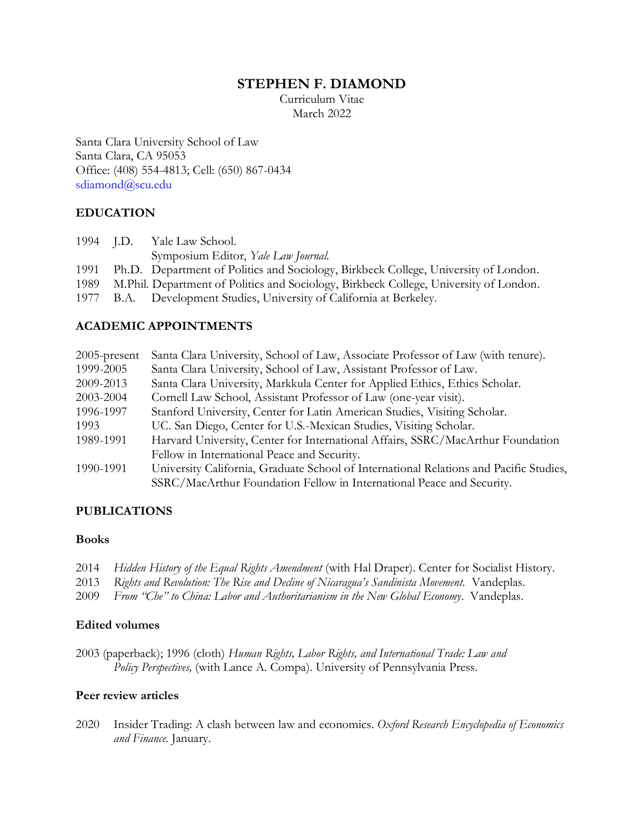# **STEPHEN F. DIAMOND**

Curriculum Vitae March 2022

Santa Clara University School of Law Santa Clara, CA 95053 Office: (408) 554-4813; Cell: (650) 867-0434 [sdiamond@scu.edu](mailto:sdiamond@scu.edu)

# **EDUCATION**

|  | 1994 J.D. Yale Law School.                                                                 |
|--|--------------------------------------------------------------------------------------------|
|  | Symposium Editor, Yale Law Journal.                                                        |
|  | 1991 Ph.D. Department of Politics and Sociology, Birkbeck College, University of London.   |
|  | 1989 M.Phil. Department of Politics and Sociology, Birkbeck College, University of London. |
|  | 1977 B.A. Development Studies, University of California at Berkeley.                       |

# **ACADEMIC APPOINTMENTS**

| $2005$ -present | Santa Clara University, School of Law, Associate Professor of Law (with tenure).       |
|-----------------|----------------------------------------------------------------------------------------|
| 1999-2005       | Santa Clara University, School of Law, Assistant Professor of Law.                     |
| 2009-2013       | Santa Clara University, Markkula Center for Applied Ethics, Ethics Scholar.            |
| 2003-2004       | Cornell Law School, Assistant Professor of Law (one-year visit).                       |
| 1996-1997       | Stanford University, Center for Latin American Studies, Visiting Scholar.              |
| 1993            | UC. San Diego, Center for U.S.-Mexican Studies, Visiting Scholar.                      |
| 1989-1991       | Harvard University, Center for International Affairs, SSRC/MacArthur Foundation        |
|                 | Fellow in International Peace and Security.                                            |
| 1990-1991       | University California, Graduate School of International Relations and Pacific Studies, |
|                 | SSRC/MacArthur Foundation Fellow in International Peace and Security.                  |

# **PUBLICATIONS**

### **Books**

- 2014 *Hidden History of the Equal Rights Amendment* (with Hal Draper). Center for Socialist History.
- 2013 *Rights and Revolution: The Rise and Decline of Nicaragua's Sandinista Movement.* Vandeplas.
- 2009 *From "Che" to China: Labor and Authoritarianism in the New Global Economy*. Vandeplas.

### **Edited volumes**

2003 (paperback); 1996 (cloth) *Human Rights, Labor Rights, and International Trade: Law and Policy Perspectives,* (with Lance A. Compa). University of Pennsylvania Press.

# **Peer review articles**

2020 Insider Trading: A clash between law and economics. *Oxford Research Encyclopedia of Economics and Finance*. January.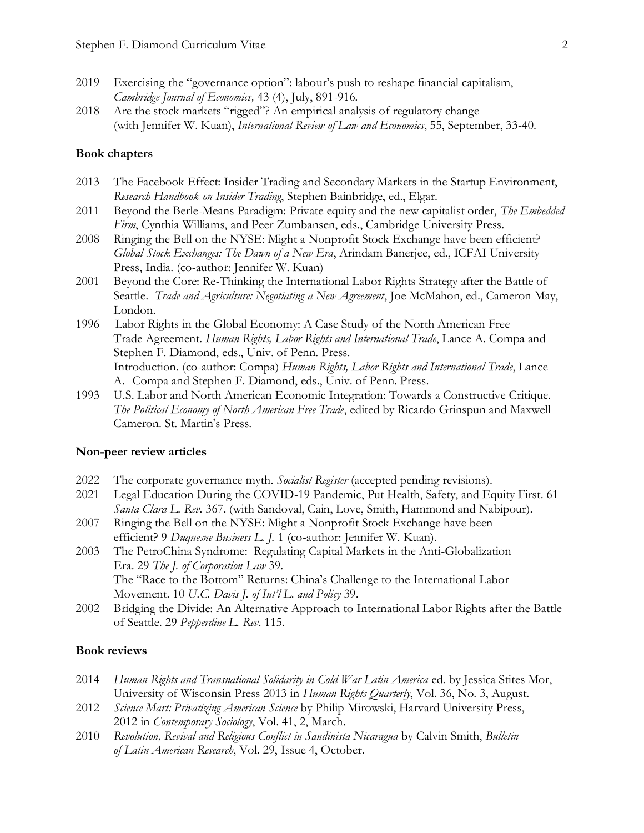- 2019 Exercising the "governance option": labour's push to reshape financial capitalism, *Cambridge Journal of Economics,* 43 (4), July, 891-916*.*
- 2018 Are the stock markets "rigged"? An empirical analysis of regulatory change (with Jennifer W. Kuan), *International Review of Law and Economics*, 55, September, 33-40.

### **Book chapters**

- 2013 The Facebook Effect: Insider Trading and Secondary Markets in the Startup Environment, *Research Handbook on Insider Trading*, Stephen Bainbridge, ed., Elgar.
- 2011 Beyond the Berle-Means Paradigm: Private equity and the new capitalist order, *The Embedded Firm*, Cynthia Williams, and Peer Zumbansen, eds., Cambridge University Press.
- 2008 Ringing the Bell on the NYSE: Might a Nonprofit Stock Exchange have been efficient? *Global Stock Exchanges: The Dawn of a New Era*, Arindam Banerjee, ed., ICFAI University Press, India. (co-author: Jennifer W. Kuan)
- 2001 Beyond the Core: Re-Thinking the International Labor Rights Strategy after the Battle of Seattle. *Trade and Agriculture: Negotiating a New Agreement*, Joe McMahon, ed., Cameron May, London.
- 1996 Labor Rights in the Global Economy: A Case Study of the North American Free Trade Agreement. *Human Rights, Labor Rights and International Trade*, Lance A. Compa and Stephen F. Diamond, eds., Univ. of Penn. Press. Introduction. (co-author: Compa) *Human Rights, Labor Rights and International Trade*, Lance A. Compa and Stephen F. Diamond, eds., Univ. of Penn. Press.
- 1993 U.S. Labor and North American Economic Integration: Towards a Constructive Critique. *The Political Economy of North American Free Trade*, edited by Ricardo Grinspun and Maxwell Cameron. St. Martin's Press.

#### **Non-peer review articles**

- 2022 The corporate governance myth. *Socialist Register* (accepted pending revisions).
- 2021 Legal Education During the COVID-19 Pandemic, Put Health, Safety, and Equity First. 61 *Santa Clara L. Rev.* 367. (with Sandoval, Cain, Love, Smith, Hammond and Nabipour).
- 2007 Ringing the Bell on the NYSE: Might a Nonprofit Stock Exchange have been efficient? 9 *Duquesne Business L. J.* 1 (co-author: Jennifer W. Kuan).
- 2003 The PetroChina Syndrome: Regulating Capital Markets in the Anti-Globalization Era. 29 *The J. of Corporation Law* 39. The "Race to the Bottom" Returns: China's Challenge to the International Labor Movement. 10 *U.C. Davis J. of Int'l L. and Policy* 39.
- 2002 Bridging the Divide: An Alternative Approach to International Labor Rights after the Battle of Seattle. 29 *Pepperdine L. Rev*. 115.

### **Book reviews**

- 2014 *Human Rights and Transnational Solidarity in Cold War Latin America* ed. by Jessica Stites Mor, University of Wisconsin Press 2013 in *Human Rights Quarterly*, Vol. 36, No. 3, August.
- 2012 *Science Mart: Privatizing American Science* by Philip Mirowski, Harvard University Press, 2012 in *Contemporary Sociology*, Vol. 41, 2, March.
- 2010 *Revolution, Revival and Religious Conflict in Sandinista Nicaragua* by Calvin Smith, *Bulletin of Latin American Research*, Vol. 29, Issue 4, October.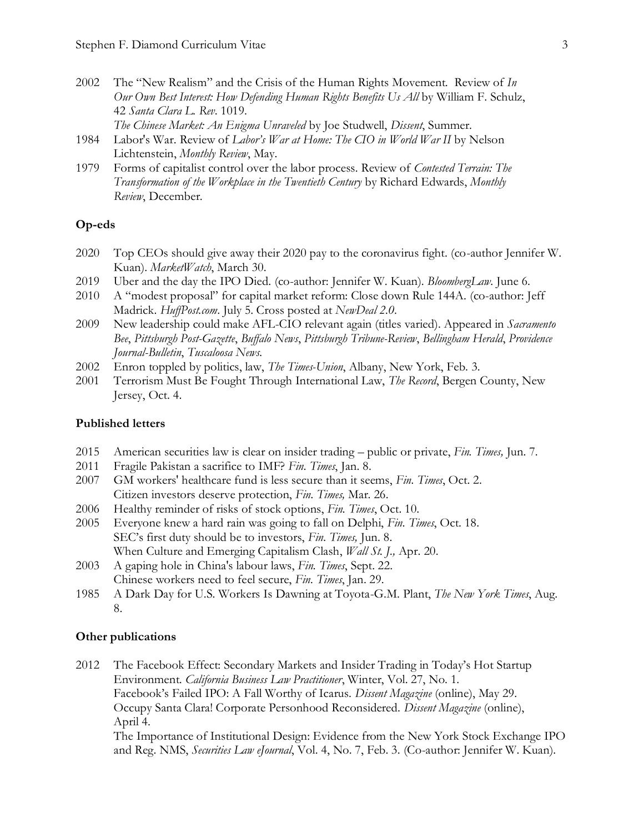- 2002 The "New Realism" and the Crisis of the Human Rights Movement. Review of *In Our Own Best Interest: How Defending Human Rights Benefits Us All* by William F. Schulz, 42 *Santa Clara L. Rev*. 1019. *The Chinese Market: An Enigma Unraveled* by Joe Studwell, *Dissent*, Summer.
- 1984 Labor's War. Review of *Labor's War at Home: The CIO in World War II* by Nelson Lichtenstein, *Monthly Review*, May.
- 1979 Forms of capitalist control over the labor process. Review of *Contested Terrain: The Transformation of the Workplace in the Twentieth Century* by Richard Edwards, *Monthly Review*, December.

### **Op-eds**

- 2020 Top CEOs should give away their 2020 pay to the coronavirus fight. (co-author Jennifer W. Kuan). *MarketWatch*, March 30.
- 2019 Uber and the day the IPO Died. (co-author: Jennifer W. Kuan). *BloombergLaw*. June 6.
- 2010 A "modest proposal" for capital market reform: Close down Rule 144A. (co-author: Jeff Madrick. *HuffPost.com*. July 5. Cross posted at *NewDeal 2.0*.
- 2009 New leadership could make AFL-CIO relevant again (titles varied). Appeared in *Sacramento Bee*, *Pittsburgh Post-Gazette*, *Buffalo News*, *Pittsburgh Tribune-Review*, *Bellingham Herald*, *Providence Journal-Bulletin*, *Tuscaloosa News.*
- 2002 Enron toppled by politics, law, *The Times-Union*, Albany, New York, Feb. 3.
- 2001 Terrorism Must Be Fought Through International Law, *The Record*, Bergen County, New Jersey, Oct. 4.

#### **Published letters**

- 2015 American securities law is clear on insider trading public or private, *Fin. Times,* Jun. 7.
- 2011 Fragile Pakistan a sacrifice to IMF? *Fin. Times*, Jan. 8.
- 2007 GM workers' healthcare fund is less secure than it seems, *Fin. Times*, Oct. 2. Citizen investors deserve protection, *Fin. Times,* Mar. 26.
- 2006 Healthy reminder of risks of stock options, *Fin. Times*, Oct. 10.
- 2005 Everyone knew a hard rain was going to fall on Delphi, *Fin. Times*, Oct. 18. SEC's first duty should be to investors, *Fin. Times,* Jun. 8. When Culture and Emerging Capitalism Clash, *Wall St. J.,* Apr. 20.
- 2003 A gaping hole in China's labour laws, *Fin. Times*, Sept. 22. Chinese workers need to feel secure, *Fin. Times*, Jan. 29.
- 1985 A Dark Day for U.S. Workers Is Dawning at Toyota-G.M. Plant, *The New York Times*, Aug. 8.

### **Other publications**

2012 The Facebook Effect: Secondary Markets and Insider Trading in Today's Hot Startup Environment. *California Business Law Practitioner*, Winter, Vol. 27, No. 1. Facebook's Failed IPO: A Fall Worthy of Icarus. *Dissent Magazine* (online), May 29. Occupy Santa Clara! Corporate Personhood Reconsidered. *Dissent Magazine* (online), April 4. The Importance of Institutional Design: Evidence from the New York Stock Exchange IPO and Reg. NMS, *Securities Law eJournal*, Vol. 4, No. 7, Feb. 3. (Co-author: Jennifer W. Kuan).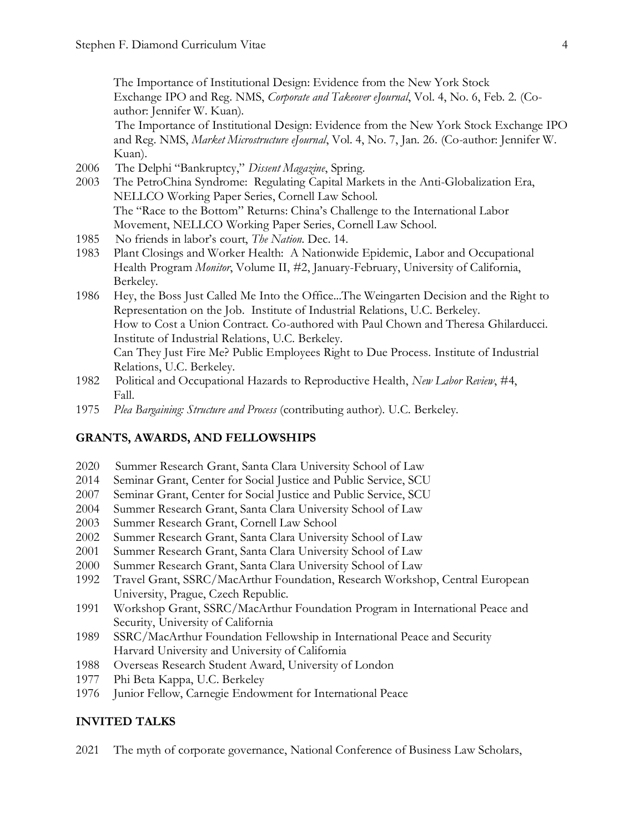The Importance of Institutional Design: Evidence from the New York Stock Exchange IPO and Reg. NMS, *Corporate and Takeover eJournal*, Vol. 4, No. 6, Feb. 2. (Coauthor: Jennifer W. Kuan).

The Importance of Institutional Design: Evidence from the New York Stock Exchange IPO and Reg. NMS, *Market Microstructure eJournal*, Vol. 4, No. 7, Jan. 26. (Co-author: Jennifer W. Kuan).

- 2006 The Delphi "Bankruptcy," *Dissent Magazine*, Spring.
- 2003 The PetroChina Syndrome: Regulating Capital Markets in the Anti-Globalization Era, NELLCO Working Paper Series, Cornell Law School. The "Race to the Bottom" Returns: China's Challenge to the International Labor Movement, NELLCO Working Paper Series, Cornell Law School.
- 1985 No friends in labor's court, *The Nation*. Dec. 14.
- 1983 Plant Closings and Worker Health: A Nationwide Epidemic, Labor and Occupational Health Program *Monitor*, Volume II, #2, January-February, University of California, Berkeley.
- 1986 Hey, the Boss Just Called Me Into the Office...The Weingarten Decision and the Right to Representation on the Job. Institute of Industrial Relations, U.C. Berkeley. How to Cost a Union Contract. Co-authored with Paul Chown and Theresa Ghilarducci. Institute of Industrial Relations, U.C. Berkeley. Can They Just Fire Me? Public Employees Right to Due Process. Institute of Industrial Relations, U.C. Berkeley.
- 1982 Political and Occupational Hazards to Reproductive Health, *New Labor Review*, #4, Fall.
- 1975 *Plea Bargaining: Structure and Process* (contributing author). U.C. Berkeley.

### **GRANTS, AWARDS, AND FELLOWSHIPS**

- 2020 Summer Research Grant, Santa Clara University School of Law
- 2014 Seminar Grant, Center for Social Justice and Public Service, SCU
- 2007 Seminar Grant, Center for Social Justice and Public Service, SCU
- 2004 Summer Research Grant, Santa Clara University School of Law
- 2003 Summer Research Grant, Cornell Law School
- 2002 Summer Research Grant, Santa Clara University School of Law
- 2001 Summer Research Grant, Santa Clara University School of Law
- 2000 Summer Research Grant, Santa Clara University School of Law
- 1992 Travel Grant, SSRC/MacArthur Foundation, Research Workshop, Central European University, Prague, Czech Republic.
- 1991 Workshop Grant, SSRC/MacArthur Foundation Program in International Peace and Security, University of California
- 1989 SSRC/MacArthur Foundation Fellowship in International Peace and Security Harvard University and University of California
- 1988 Overseas Research Student Award, University of London
- 1977 Phi Beta Kappa, U.C. Berkeley
- 1976 Junior Fellow, Carnegie Endowment for International Peace

#### **INVITED TALKS**

2021 The myth of corporate governance, National Conference of Business Law Scholars,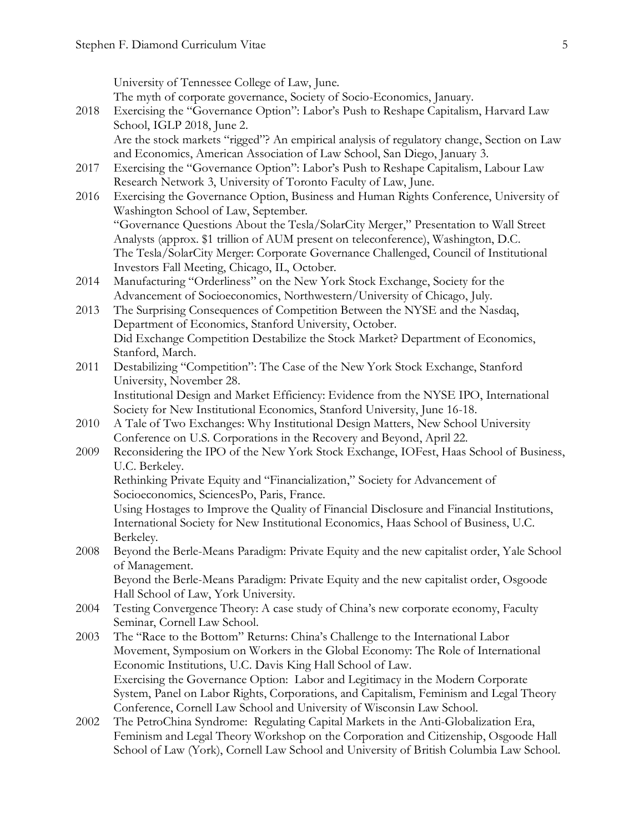University of Tennessee College of Law, June.

The myth of corporate governance, Society of Socio-Economics, January.

- 2018 Exercising the "Governance Option": Labor's Push to Reshape Capitalism, Harvard Law School, IGLP 2018, June 2. Are the stock markets "rigged"? An empirical analysis of regulatory change, Section on Law and Economics, American Association of Law School, San Diego, January 3.
- 2017 Exercising the "Governance Option": Labor's Push to Reshape Capitalism, Labour Law Research Network 3, University of Toronto Faculty of Law, June.
- 2016 Exercising the Governance Option, Business and Human Rights Conference, University of Washington School of Law, September. "Governance Questions About the Tesla/SolarCity Merger," Presentation to Wall Street Analysts (approx. \$1 trillion of AUM present on teleconference), Washington, D.C. The Tesla/SolarCity Merger: Corporate Governance Challenged, Council of Institutional Investors Fall Meeting, Chicago, IL, October.
- 2014 Manufacturing "Orderliness" on the New York Stock Exchange, Society for the Advancement of Socioeconomics, Northwestern/University of Chicago, July.
- 2013 The Surprising Consequences of Competition Between the NYSE and the Nasdaq, Department of Economics, Stanford University, October. Did Exchange Competition Destabilize the Stock Market? Department of Economics, Stanford, March.
- 2011 Destabilizing "Competition": The Case of the New York Stock Exchange, Stanford University, November 28. Institutional Design and Market Efficiency: Evidence from the NYSE IPO, International

Society for New Institutional Economics, Stanford University, June 16-18.

- 2010 A Tale of Two Exchanges: Why Institutional Design Matters, New School University Conference on U.S. Corporations in the Recovery and Beyond, April 22.
- 2009 Reconsidering the IPO of the New York Stock Exchange, IOFest, Haas School of Business, U.C. Berkeley.

Rethinking Private Equity and "Financialization," Society for Advancement of Socioeconomics, SciencesPo, Paris, France.

Using Hostages to Improve the Quality of Financial Disclosure and Financial Institutions, International Society for New Institutional Economics, Haas School of Business, U.C. Berkeley.

2008 Beyond the Berle-Means Paradigm: Private Equity and the new capitalist order, Yale School of Management.

Beyond the Berle-Means Paradigm: Private Equity and the new capitalist order, Osgoode Hall School of Law, York University.

- 2004 Testing Convergence Theory: A case study of China's new corporate economy, Faculty Seminar, Cornell Law School.
- 2003 The "Race to the Bottom" Returns: China's Challenge to the International Labor Movement, Symposium on Workers in the Global Economy: The Role of International Economic Institutions, U.C. Davis King Hall School of Law. Exercising the Governance Option: Labor and Legitimacy in the Modern Corporate System, Panel on Labor Rights, Corporations, and Capitalism, Feminism and Legal Theory Conference, Cornell Law School and University of Wisconsin Law School.
- 2002 The PetroChina Syndrome: Regulating Capital Markets in the Anti-Globalization Era, Feminism and Legal Theory Workshop on the Corporation and Citizenship, Osgoode Hall School of Law (York), Cornell Law School and University of British Columbia Law School.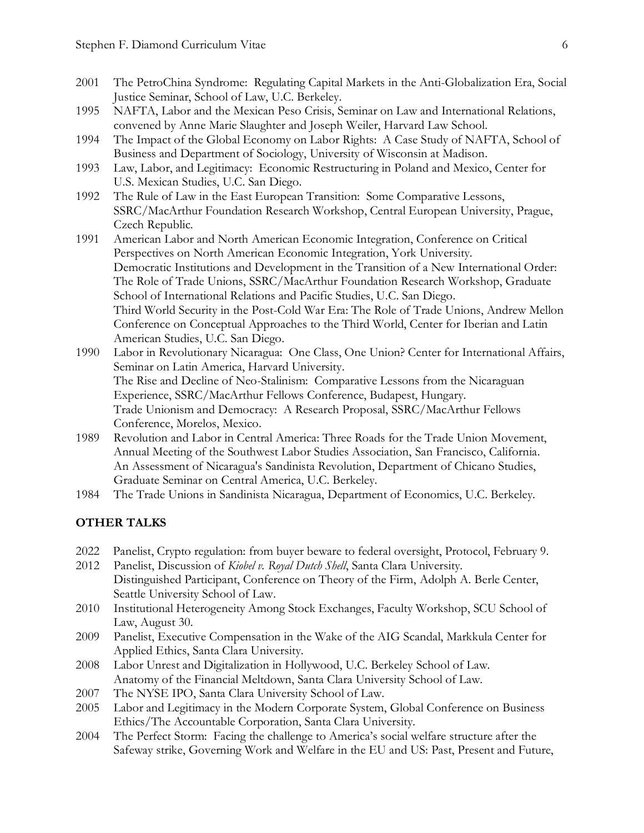- 2001 The PetroChina Syndrome: Regulating Capital Markets in the Anti-Globalization Era, Social Justice Seminar, School of Law, U.C. Berkeley.
- 1995 NAFTA, Labor and the Mexican Peso Crisis, Seminar on Law and International Relations, convened by Anne Marie Slaughter and Joseph Weiler, Harvard Law School.
- 1994 The Impact of the Global Economy on Labor Rights: A Case Study of NAFTA, School of Business and Department of Sociology, University of Wisconsin at Madison.
- 1993 Law, Labor, and Legitimacy: Economic Restructuring in Poland and Mexico, Center for U.S. Mexican Studies, U.C. San Diego.
- 1992 The Rule of Law in the East European Transition: Some Comparative Lessons, SSRC/MacArthur Foundation Research Workshop, Central European University, Prague, Czech Republic.
- 1991 American Labor and North American Economic Integration, Conference on Critical Perspectives on North American Economic Integration, York University. Democratic Institutions and Development in the Transition of a New International Order: The Role of Trade Unions, SSRC/MacArthur Foundation Research Workshop, Graduate School of International Relations and Pacific Studies, U.C. San Diego. Third World Security in the Post-Cold War Era: The Role of Trade Unions, Andrew Mellon Conference on Conceptual Approaches to the Third World, Center for Iberian and Latin American Studies, U.C. San Diego.
- 1990 Labor in Revolutionary Nicaragua: One Class, One Union? Center for International Affairs, Seminar on Latin America, Harvard University. The Rise and Decline of Neo-Stalinism: Comparative Lessons from the Nicaraguan Experience, SSRC/MacArthur Fellows Conference, Budapest, Hungary. Trade Unionism and Democracy: A Research Proposal, SSRC/MacArthur Fellows Conference, Morelos, Mexico.
- 1989 Revolution and Labor in Central America: Three Roads for the Trade Union Movement, Annual Meeting of the Southwest Labor Studies Association, San Francisco, California. An Assessment of Nicaragua's Sandinista Revolution, Department of Chicano Studies, Graduate Seminar on Central America, U.C. Berkeley.
- 1984 The Trade Unions in Sandinista Nicaragua, Department of Economics, U.C. Berkeley.

### **OTHER TALKS**

- 2022 Panelist, Crypto regulation: from buyer beware to federal oversight, Protocol, February 9.
- 2012 Panelist, Discussion of *Kiobel v. Royal Dutch Shell*, Santa Clara University. Distinguished Participant, Conference on Theory of the Firm, Adolph A. Berle Center, Seattle University School of Law.
- 2010 Institutional Heterogeneity Among Stock Exchanges, Faculty Workshop, SCU School of Law, August 30.
- 2009 Panelist, Executive Compensation in the Wake of the AIG Scandal, Markkula Center for Applied Ethics, Santa Clara University.
- 2008 Labor Unrest and Digitalization in Hollywood, U.C. Berkeley School of Law. Anatomy of the Financial Meltdown, Santa Clara University School of Law.
- 2007 The NYSE IPO, Santa Clara University School of Law.
- 2005 Labor and Legitimacy in the Modern Corporate System, Global Conference on Business Ethics/The Accountable Corporation, Santa Clara University.
- 2004 The Perfect Storm: Facing the challenge to America's social welfare structure after the Safeway strike, Governing Work and Welfare in the EU and US: Past, Present and Future,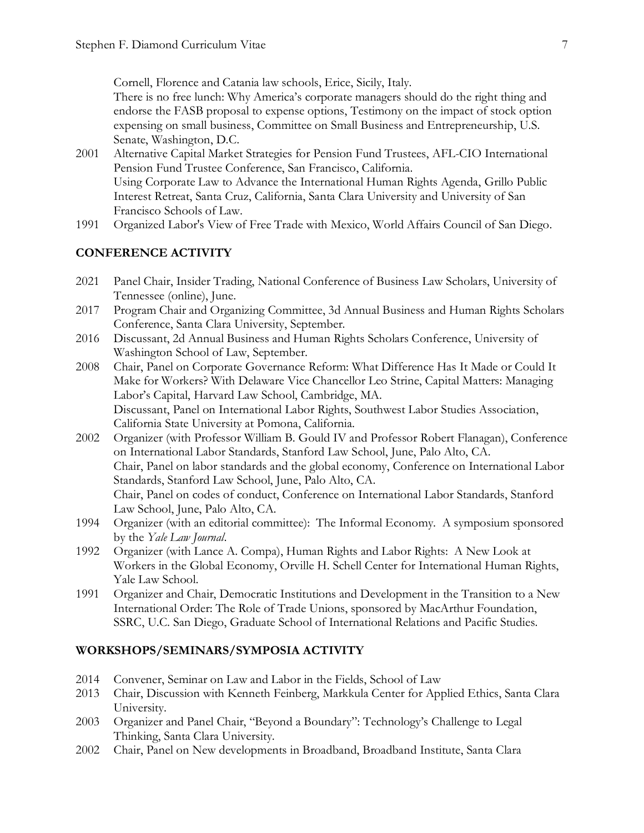Cornell, Florence and Catania law schools, Erice, Sicily, Italy.

There is no free lunch: Why America's corporate managers should do the right thing and endorse the FASB proposal to expense options, Testimony on the impact of stock option expensing on small business, Committee on Small Business and Entrepreneurship, U.S. Senate, Washington, D.C.

- 2001 Alternative Capital Market Strategies for Pension Fund Trustees, AFL-CIO International Pension Fund Trustee Conference, San Francisco, California. Using Corporate Law to Advance the International Human Rights Agenda, Grillo Public Interest Retreat, Santa Cruz, California, Santa Clara University and University of San Francisco Schools of Law.
- 1991 Organized Labor's View of Free Trade with Mexico, World Affairs Council of San Diego.

# **CONFERENCE ACTIVITY**

- 2021 Panel Chair, Insider Trading, National Conference of Business Law Scholars, University of Tennessee (online), June.
- 2017 Program Chair and Organizing Committee, 3d Annual Business and Human Rights Scholars Conference, Santa Clara University, September.
- 2016 Discussant, 2d Annual Business and Human Rights Scholars Conference, University of Washington School of Law, September.
- 2008 Chair, Panel on Corporate Governance Reform: What Difference Has It Made or Could It Make for Workers? With Delaware Vice Chancellor Leo Strine, Capital Matters: Managing Labor's Capital, Harvard Law School, Cambridge, MA. Discussant, Panel on International Labor Rights, Southwest Labor Studies Association, California State University at Pomona, California.
- 2002 Organizer (with Professor William B. Gould IV and Professor Robert Flanagan), Conference on International Labor Standards, Stanford Law School, June, Palo Alto, CA. Chair, Panel on labor standards and the global economy, Conference on International Labor Standards, Stanford Law School, June, Palo Alto, CA. Chair, Panel on codes of conduct, Conference on International Labor Standards, Stanford Law School, June, Palo Alto, CA.
- 1994 Organizer (with an editorial committee): The Informal Economy. A symposium sponsored by the *Yale Law Journal*.
- 1992 Organizer (with Lance A. Compa), Human Rights and Labor Rights: A New Look at Workers in the Global Economy, Orville H. Schell Center for International Human Rights, Yale Law School.
- 1991 Organizer and Chair, Democratic Institutions and Development in the Transition to a New International Order: The Role of Trade Unions, sponsored by MacArthur Foundation, SSRC, U.C. San Diego, Graduate School of International Relations and Pacific Studies.

# **WORKSHOPS/SEMINARS/SYMPOSIA ACTIVITY**

- 2014 Convener, Seminar on Law and Labor in the Fields, School of Law
- 2013 Chair, Discussion with Kenneth Feinberg, Markkula Center for Applied Ethics, Santa Clara University.
- 2003 Organizer and Panel Chair, "Beyond a Boundary": Technology's Challenge to Legal Thinking, Santa Clara University.
- 2002 Chair, Panel on New developments in Broadband, Broadband Institute, Santa Clara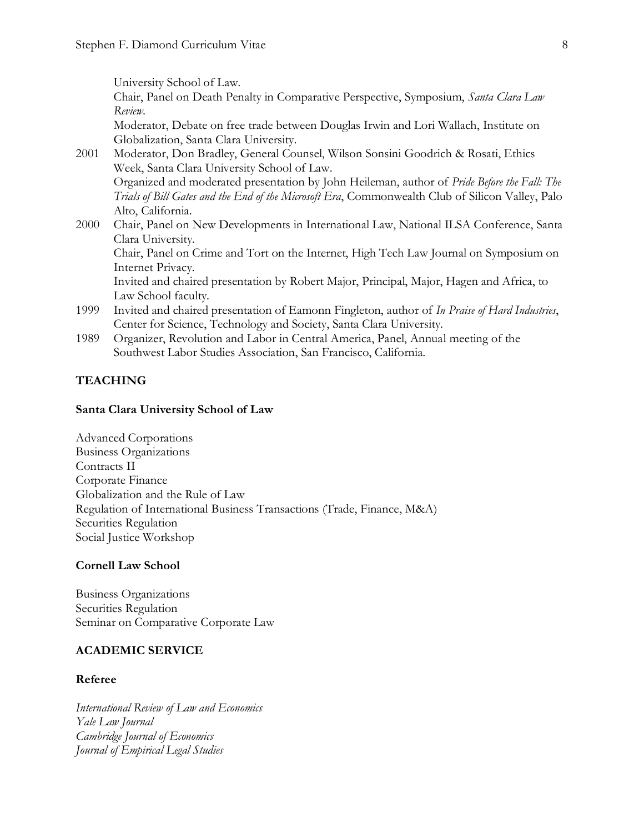University School of Law.

Chair, Panel on Death Penalty in Comparative Perspective, Symposium, *Santa Clara Law Review*.

Moderator, Debate on free trade between Douglas Irwin and Lori Wallach, Institute on Globalization, Santa Clara University.

- 2001 Moderator, Don Bradley, General Counsel, Wilson Sonsini Goodrich & Rosati, Ethics Week, Santa Clara University School of Law. Organized and moderated presentation by John Heileman, author of *Pride Before the Fall: The Trials of Bill Gates and the End of the Microsoft Era*, Commonwealth Club of Silicon Valley, Palo Alto, California.
- 2000 Chair, Panel on New Developments in International Law, National ILSA Conference, Santa Clara University.

Chair, Panel on Crime and Tort on the Internet, High Tech Law Journal on Symposium on Internet Privacy.

Invited and chaired presentation by Robert Major, Principal, Major, Hagen and Africa, to Law School faculty.

- 1999 Invited and chaired presentation of Eamonn Fingleton, author of *In Praise of Hard Industries*, Center for Science, Technology and Society, Santa Clara University.
- 1989 Organizer, Revolution and Labor in Central America, Panel, Annual meeting of the Southwest Labor Studies Association, San Francisco, California.

## **TEACHING**

#### **Santa Clara University School of Law**

Advanced Corporations Business Organizations Contracts II Corporate Finance Globalization and the Rule of Law Regulation of International Business Transactions (Trade, Finance, M&A) Securities Regulation Social Justice Workshop

#### **Cornell Law School**

Business Organizations Securities Regulation Seminar on Comparative Corporate Law

### **ACADEMIC SERVICE**

#### **Referee**

*International Review of Law and Economics Yale Law Journal Cambridge Journal of Economics Journal of Empirical Legal Studies*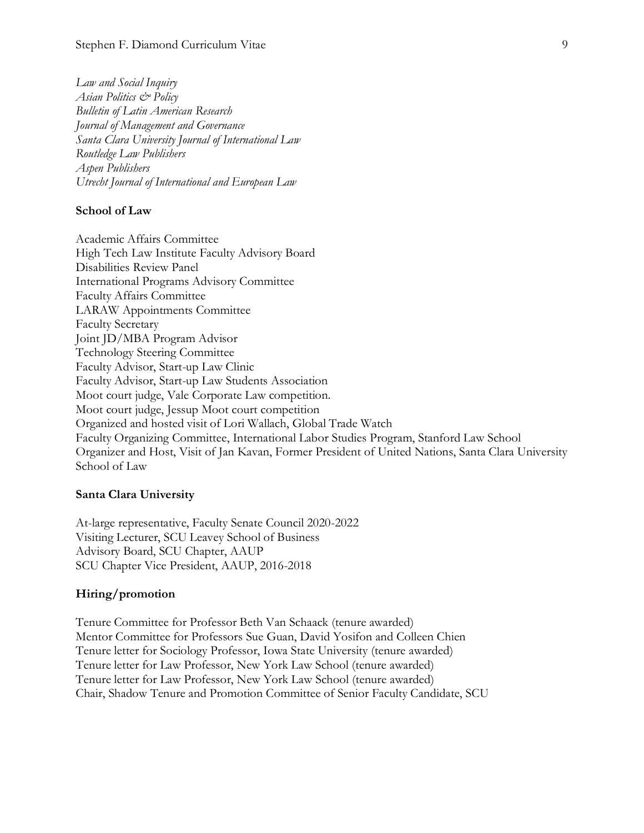*Law and Social Inquiry Asian Politics & Policy Bulletin of Latin American Research Journal of Management and Governance Santa Clara University Journal of International Law Routledge Law Publishers Aspen Publishers Utrecht Journal of International and European Law*

#### **School of Law**

Academic Affairs Committee High Tech Law Institute Faculty Advisory Board Disabilities Review Panel International Programs Advisory Committee Faculty Affairs Committee LARAW Appointments Committee Faculty Secretary Joint JD/MBA Program Advisor Technology Steering Committee Faculty Advisor, Start-up Law Clinic Faculty Advisor, Start-up Law Students Association Moot court judge, Vale Corporate Law competition. Moot court judge, Jessup Moot court competition Organized and hosted visit of Lori Wallach, Global Trade Watch Faculty Organizing Committee, International Labor Studies Program, Stanford Law School Organizer and Host, Visit of Jan Kavan, Former President of United Nations, Santa Clara University School of Law

#### **Santa Clara University**

At-large representative, Faculty Senate Council 2020-2022 Visiting Lecturer, SCU Leavey School of Business Advisory Board, SCU Chapter, AAUP SCU Chapter Vice President, AAUP, 2016-2018

#### **Hiring/promotion**

Tenure Committee for Professor Beth Van Schaack (tenure awarded) Mentor Committee for Professors Sue Guan, David Yosifon and Colleen Chien Tenure letter for Sociology Professor, Iowa State University (tenure awarded) Tenure letter for Law Professor, New York Law School (tenure awarded) Tenure letter for Law Professor, New York Law School (tenure awarded) Chair, Shadow Tenure and Promotion Committee of Senior Faculty Candidate, SCU